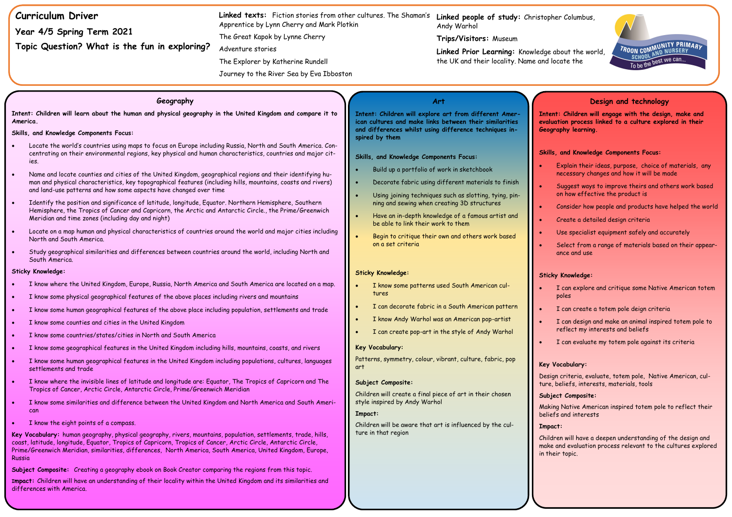| <b>Curriculum Driver</b><br>Year 4/5 Spring Term 2021<br>Topic Question? What is the fun in exploring?                                                                                                                                                                                                                                                                                                                                                                                                                                                                                                                                                                                                                                                                                                                                                                                                                                                                                                                                                                                                                                                                                                                                                                                                                                                                                                                                                                                                                                                                                                                                                                                                               | <b>Linked texts:</b> Fiction stories from other cultures. The Shaman's<br>Apprentice by Lynn Cherry and Mark Plotkin<br>The Great Kapok by Lynne Cherry<br>Adventure stories<br>The Explorer by Katherine Rundell<br>Journey to the River Sea by Eva Ibboston | Linked people of study: Christopl<br>Andy Warhol<br>Trips/Visitors: Museum<br>Linked Prior Learning: Knowledge<br>the UK and their locality. Name and                                                                                                                                                                                                                                                                                                                                                                                                                                                                                                                              |  |
|----------------------------------------------------------------------------------------------------------------------------------------------------------------------------------------------------------------------------------------------------------------------------------------------------------------------------------------------------------------------------------------------------------------------------------------------------------------------------------------------------------------------------------------------------------------------------------------------------------------------------------------------------------------------------------------------------------------------------------------------------------------------------------------------------------------------------------------------------------------------------------------------------------------------------------------------------------------------------------------------------------------------------------------------------------------------------------------------------------------------------------------------------------------------------------------------------------------------------------------------------------------------------------------------------------------------------------------------------------------------------------------------------------------------------------------------------------------------------------------------------------------------------------------------------------------------------------------------------------------------------------------------------------------------------------------------------------------------|---------------------------------------------------------------------------------------------------------------------------------------------------------------------------------------------------------------------------------------------------------------|------------------------------------------------------------------------------------------------------------------------------------------------------------------------------------------------------------------------------------------------------------------------------------------------------------------------------------------------------------------------------------------------------------------------------------------------------------------------------------------------------------------------------------------------------------------------------------------------------------------------------------------------------------------------------------|--|
| Geography<br>Intent: Children will learn about the human and physical geography in the United Kingdom and compare it to<br>America.<br>Skills, and Knowledge Components Focus:<br>Locate the world's countries using maps to focus on Europe including Russia, North and South America. Con-<br>centrating on their environmental regions, key physical and human characteristics, countries and major cit-<br>ies.<br>Name and locate counties and cities of the United Kingdom, geographical regions and their identifying hu-<br>man and physical characteristics, key topographical features (including hills, mountains, coasts and rivers)<br>and land-use patterns and how some aspects have changed over time<br>Identify the position and significance of latitude, longitude, Equator. Northern Hemisphere, Southern<br>Hemisphere, the Tropics of Cancer and Capricorn, the Arctic and Antarctic Circle., the Prime/Greenwich<br>Meridian and time zones (including day and night)<br>Locate on a map human and physical characteristics of countries around the world and major cities including<br>North and South America.<br>Study geographical similarities and differences between countries around the world, including North and                                                                                                                                                                                                                                                                                                                                                                                                                                                                  |                                                                                                                                                                                                                                                               | Art<br>Intent: Children will explore art from different Amer-<br><b>Inte</b><br>ican cultures and make links between their similarities<br>evalu<br>and differences whilst using difference techniques in-<br>Geog<br>spired by them<br><b>Skill</b><br>Skills, and Knowledge Components Focus:<br>Build up a portfolio of work in sketchbook<br>Decorate fabric using different materials to finish<br>Using joining techniques such as slotting, tying, pin-<br>ning and sewing when creating 3D structures<br>Have an in-depth knowledge of a famous artist and<br>be able to link their work to them<br>Begin to critique their own and others work based<br>on a set criteria |  |
| South America.<br><b>Sticky Knowledge:</b><br>I know where the United Kingdom, Europe, Russia, North America and South America are located on a map.<br>I know some physical geographical features of the above places including rivers and mountains<br>I know some human geographical features of the above place including population, settlements and trade<br>I know some counties and cities in the United Kingdom<br>I know some countries/states/cities in North and South America<br>I know some geographical features in the United Kingdom including hills, mountains, coasts, and rivers<br>I know some human geographical features in the United Kingdom including populations, cultures, languages<br>settlements and trade<br>I know where the invisible lines of latitude and longitude are: Equator, The Tropics of Capricorn and The<br>Tropics of Cancer, Arctic Circle, Antarctic Circle, Prime/Greenwich Meridian<br>I know some similarities and difference between the United Kingdom and North America and South Ameri-<br>can<br>I know the eight points of a compass.<br>Key Vocabulary: human geography, physical geography, rivers, mountains, population, settlements, trade, hills,<br>coast, latitude, longitude, Equator, Tropics of Capricorn, Tropics of Cancer, Arctic Circle, Antarctic Circle,<br>Prime/Greenwich Meridian, similarities, differences, North America, South America, United Kingdom, Europe,<br>Russia<br>Subject Composite: Creating a geography ebook on Book Creator comparing the regions from this topic.<br>Impact: Children will have an understanding of their locality within the United Kingdom and its similarities and<br>differences with America. | $\bullet$<br>art                                                                                                                                                                                                                                              | <b>Sticky Knowledge:</b><br>Sticl<br>I know some patterns used South American cul-<br>tures<br>I can decorate fabric in a South American pattern<br>I know Andy Warhol was an American pop-artist<br>I can create pop-art in the style of Andy Warhol<br>Key Vocabulary:<br>Patterns, symmetry, colour, vibrant, culture, fabric, pop<br>Key<br>Desi<br>Subject Composite:<br>ture<br>Children will create a final piece of art in their chosen<br>Subj<br>style inspired by Andy Warhol<br>Maki<br>Impact:<br>belie<br>Children will be aware that art is influenced by the cul-<br><b>Impo</b><br>ture in that region<br>Chilc<br>make<br>in th                                  |  |

**her Columbus,** 

about the world, locate the



**Int: Children will engage with the design, make and evaluation process linked to a culture explored in their Geography learning.** 

# **Design and technology**

## **Skills, and Knowledge Components Focus:**

- Explain their ideas, purpose, choice of materials, any necessary changes and how it will be made
- Suggest ways to improve theirs and others work based on how effective the product is
- Consider how people and products have helped the world
- Create a detailed design criteria
- Use specialist equipment safely and accurately
- Select from a range of materials based on their appearance and use

## **Sticky Knowledge:**

- I can explore and critique some Native American totem poles
- I can create a totem pole deign criteria
- I can design and make an animal inspired totem pole to reflect my interests and beliefs
- I can evaluate my totem pole against its criteria

## **Vocabulary:**

ign criteria, evaluate, totem pole, Native American, culture, beliefs, interests, materials, tools,

## **Subject Composite:**

ing Native American inspired totem pole to reflect their efs and interests

#### **Impact:**

dren will have a deepen understanding of the design and e and evaluation process relevant to the cultures explored ieir topic.